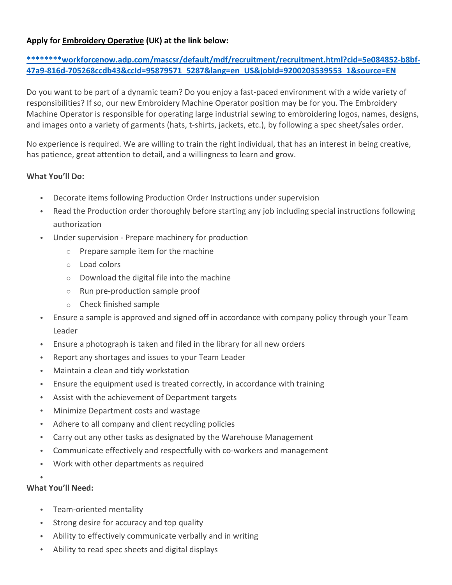# **Apply for Embroidery Operative (UK) at the link below:**

# **\*\*\*\*\*\*\*\*workforcenow.adp.com/mascsr/default/mdf/recruitment/recruitment.html?cid=5e084852‐b8bf‐ 47a9‐816d‐705268ccdb43&ccId=95879571\_5287&lang=en\_US&jobId=9200203539553\_1&source=EN**

Do you want to be part of a dynamic team? Do you enjoy a fast‐paced environment with a wide variety of responsibilities? If so, our new Embroidery Machine Operator position may be for you. The Embroidery Machine Operator is responsible for operating large industrial sewing to embroidering logos, names, designs, and images onto a variety of garments (hats, t‐shirts, jackets, etc.), by following a spec sheet/sales order.

No experience is required. We are willing to train the right individual, that has an interest in being creative, has patience, great attention to detail, and a willingness to learn and grow.

### **What You'll Do:**

- Decorate items following Production Order Instructions under supervision
- Read the Production order thoroughly before starting any job including special instructions following authorization
- Under supervision ‐ Prepare machinery for production
	- o Prepare sample item for the machine
	- o Load colors
	- o Download the digital file into the machine
	- o Run pre‐production sample proof
	- o Check finished sample
- Ensure a sample is approved and signed off in accordance with company policy through your Team Leader
- Ensure a photograph is taken and filed in the library for all new orders
- Report any shortages and issues to your Team Leader
- Maintain a clean and tidy workstation
- Ensure the equipment used is treated correctly, in accordance with training
- Assist with the achievement of Department targets
- Minimize Department costs and wastage
- Adhere to all company and client recycling policies
- Carry out any other tasks as designated by the Warehouse Management
- Communicate effectively and respectfully with co‐workers and management
- Work with other departments as required

#### $\bullet$ **What You'll Need:**

- - Team‐oriented mentality
	- Strong desire for accuracy and top quality
	- Ability to effectively communicate verbally and in writing
	- Ability to read spec sheets and digital displays